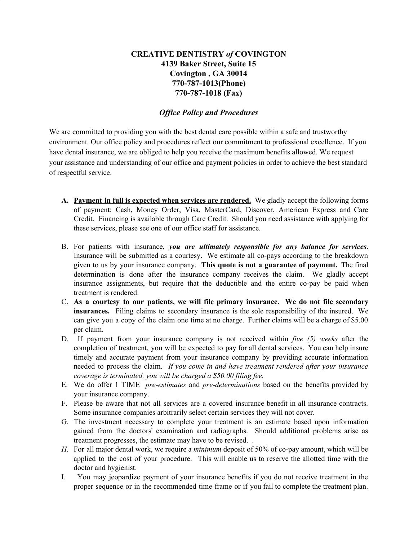## **CREATIVE DENTISTRY** *of* **COVINGTON 4139 Baker Street, Suite 15 Covington , GA 30014 770-787-1013(Phone) 770-787-1018 (Fax)**

## *Office Policy and Procedures*

We are committed to providing you with the best dental care possible within a safe and trustworthy environment. Our office policy and procedures reflect our commitment to professional excellence. If you have dental insurance, we are obliged to help you receive the maximum benefits allowed. We request your assistance and understanding of our office and payment policies in order to achieve the best standard of respectful service.

- **A. Payment in full is expected when services are rendered.** We gladly accept the following forms of payment: Cash, Money Order, Visa, MasterCard, Discover, American Express and Care Credit. Financing is available through Care Credit. Should you need assistance with applying for these services, please see one of our office staff for assistance.
- B. For patients with insurance, *you are ultimately responsible for any balance for services*. Insurance will be submitted as a courtesy. We estimate all co-pays according to the breakdown given to us by your insurance company. **This quote is not a guarantee of payment.** The final determination is done after the insurance company receives the claim. We gladly accept insurance assignments, but require that the deductible and the entire co-pay be paid when treatment is rendered.
- C. **As a courtesy to our patients, we will file primary insurance. We do not file secondary insurances.** Filing claims to secondary insurance is the sole responsibility of the insured. We can give you a copy of the claim one time at no charge. Further claims will be a charge of \$5.00 per claim.
- D. If payment from your insurance company is not received within *five (5) weeks* after the completion of treatment, you will be expected to pay for all dental services. You can help insure timely and accurate payment from your insurance company by providing accurate information needed to process the claim. *If you come in and have treatment rendered after your insurance coverage is terminated, you will be charged a \$50.00 filing fee.*
- E. We do offer 1 TIME *pre-estimates* and *pre-determinations* based on the benefits provided by your insurance company.
- F. Please be aware that not all services are a covered insurance benefit in all insurance contracts. Some insurance companies arbitrarily select certain services they will not cover.
- G. The investment necessary to complete your treatment is an estimate based upon information gained from the doctors' examination and radiographs. Should additional problems arise as treatment progresses, the estimate may have to be revised. .
- *H.* For all major dental work, we require a *minimum* deposit of 50% of co-pay amount, which will be applied to the cost of your procedure. This will enable us to reserve the allotted time with the doctor and hygienist.
- I. You may jeopardize payment of your insurance benefits if you do not receive treatment in the proper sequence or in the recommended time frame or if you fail to complete the treatment plan.